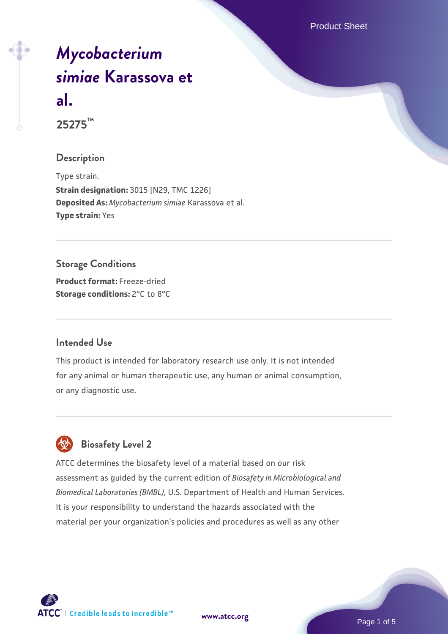Product Sheet

# *[Mycobacterium](https://www.atcc.org/products/25275) [simiae](https://www.atcc.org/products/25275)* **[Karassova et](https://www.atcc.org/products/25275) [al.](https://www.atcc.org/products/25275)**

**25275™**

#### **Description**

Type strain. **Strain designation:** 3015 [N29, TMC 1226] **Deposited As:** *Mycobacterium simiae* Karassova et al. **Type strain:** Yes

# **Storage Conditions Product format:** Freeze-dried

**Storage conditions:** 2°C to 8°C

# **Intended Use**

This product is intended for laboratory research use only. It is not intended for any animal or human therapeutic use, any human or animal consumption, or any diagnostic use.

# **Biosafety Level 2**

ATCC determines the biosafety level of a material based on our risk assessment as guided by the current edition of *Biosafety in Microbiological and Biomedical Laboratories (BMBL)*, U.S. Department of Health and Human Services. It is your responsibility to understand the hazards associated with the material per your organization's policies and procedures as well as any other



**[www.atcc.org](http://www.atcc.org)**

Page 1 of 5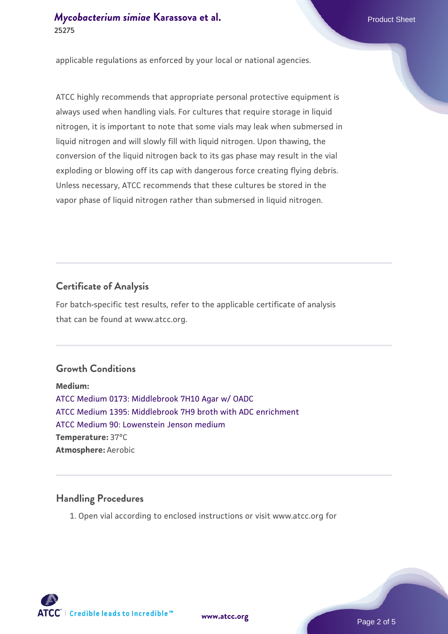# *[Mycobacterium simiae](https://www.atcc.org/products/25275)* **[Karassova et al.](https://www.atcc.org/products/25275)** Product Sheet **25275**

applicable regulations as enforced by your local or national agencies.

ATCC highly recommends that appropriate personal protective equipment is always used when handling vials. For cultures that require storage in liquid nitrogen, it is important to note that some vials may leak when submersed in liquid nitrogen and will slowly fill with liquid nitrogen. Upon thawing, the conversion of the liquid nitrogen back to its gas phase may result in the vial exploding or blowing off its cap with dangerous force creating flying debris. Unless necessary, ATCC recommends that these cultures be stored in the vapor phase of liquid nitrogen rather than submersed in liquid nitrogen.

# **Certificate of Analysis**

For batch-specific test results, refer to the applicable certificate of analysis that can be found at www.atcc.org.

# **Growth Conditions**

**Medium:**  [ATCC Medium 0173: Middlebrook 7H10 Agar w/ OADC](https://www.atcc.org/-/media/product-assets/documents/microbial-media-formulations/0/1/7/3/atcc-medium-0173.pdf?rev=2fcd87d0ebaf471d8aa6aba3758ef39f) [ATCC Medium 1395: Middlebrook 7H9 broth with ADC enrichment](https://www.atcc.org/-/media/product-assets/documents/microbial-media-formulations/1/3/9/5/atcc-medium-1395.pdf?rev=83f84c8c9e994a71a2edb0458ff02218) [ATCC Medium 90: Lowenstein Jenson medium](https://www.atcc.org/-/media/product-assets/documents/microbial-media-formulations/9/0/atcc-medium-90.pdf?rev=2af45eec61614a8e9024c1519219fe34) **Temperature:** 37°C **Atmosphere:** Aerobic

# **Handling Procedures**

1. Open vial according to enclosed instructions or visit www.atcc.org for

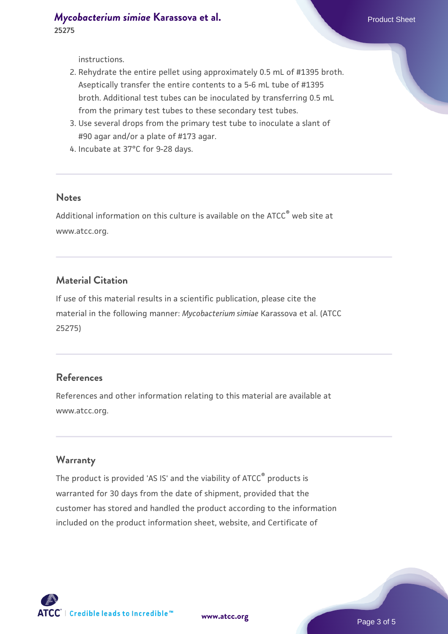instructions.

- 2. Rehydrate the entire pellet using approximately 0.5 mL of #1395 broth. Aseptically transfer the entire contents to a 5-6 mL tube of #1395 broth. Additional test tubes can be inoculated by transferring 0.5 mL from the primary test tubes to these secondary test tubes.
- 3. Use several drops from the primary test tube to inoculate a slant of #90 agar and/or a plate of #173 agar.
- 4. Incubate at 37°C for 9-28 days.

#### **Notes**

Additional information on this culture is available on the ATCC® web site at www.atcc.org.

#### **Material Citation**

If use of this material results in a scientific publication, please cite the material in the following manner: *Mycobacterium simiae* Karassova et al. (ATCC 25275)

#### **References**

References and other information relating to this material are available at www.atcc.org.

#### **Warranty**

The product is provided 'AS IS' and the viability of ATCC® products is warranted for 30 days from the date of shipment, provided that the customer has stored and handled the product according to the information included on the product information sheet, website, and Certificate of

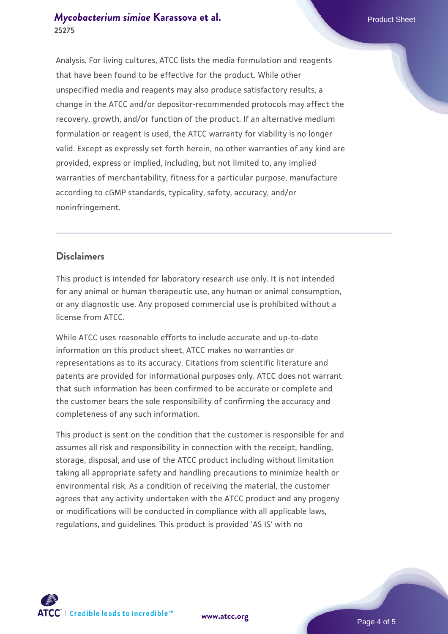# *[Mycobacterium simiae](https://www.atcc.org/products/25275)* **[Karassova et al.](https://www.atcc.org/products/25275)** Product Sheet **25275**

Analysis. For living cultures, ATCC lists the media formulation and reagents that have been found to be effective for the product. While other unspecified media and reagents may also produce satisfactory results, a change in the ATCC and/or depositor-recommended protocols may affect the recovery, growth, and/or function of the product. If an alternative medium formulation or reagent is used, the ATCC warranty for viability is no longer valid. Except as expressly set forth herein, no other warranties of any kind are provided, express or implied, including, but not limited to, any implied warranties of merchantability, fitness for a particular purpose, manufacture according to cGMP standards, typicality, safety, accuracy, and/or noninfringement.

#### **Disclaimers**

This product is intended for laboratory research use only. It is not intended for any animal or human therapeutic use, any human or animal consumption, or any diagnostic use. Any proposed commercial use is prohibited without a license from ATCC.

While ATCC uses reasonable efforts to include accurate and up-to-date information on this product sheet, ATCC makes no warranties or representations as to its accuracy. Citations from scientific literature and patents are provided for informational purposes only. ATCC does not warrant that such information has been confirmed to be accurate or complete and the customer bears the sole responsibility of confirming the accuracy and completeness of any such information.

This product is sent on the condition that the customer is responsible for and assumes all risk and responsibility in connection with the receipt, handling, storage, disposal, and use of the ATCC product including without limitation taking all appropriate safety and handling precautions to minimize health or environmental risk. As a condition of receiving the material, the customer agrees that any activity undertaken with the ATCC product and any progeny or modifications will be conducted in compliance with all applicable laws, regulations, and guidelines. This product is provided 'AS IS' with no